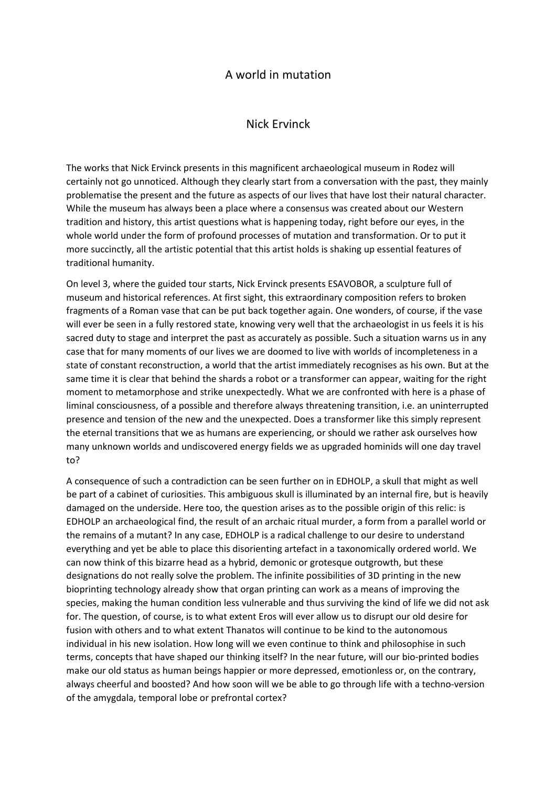## A world in mutation

## Nick Ervinck

The works that Nick Ervinck presents in this magnificent archaeological museum in Rodez will certainly not go unnoticed. Although they clearly start from a conversation with the past, they mainly problematise the present and the future as aspects of our lives that have lost their natural character. While the museum has always been a place where a consensus was created about our Western tradition and history, this artist questions what is happening today, right before our eyes, in the whole world under the form of profound processes of mutation and transformation. Or to put it more succinctly, all the artistic potential that this artist holds is shaking up essential features of traditional humanity.

On level 3, where the guided tour starts, Nick Ervinck presents ESAVOBOR, a sculpture full of museum and historical references. At first sight, this extraordinary composition refers to broken fragments of a Roman vase that can be put back together again. One wonders, of course, if the vase will ever be seen in a fully restored state, knowing very well that the archaeologist in us feels it is his sacred duty to stage and interpret the past as accurately as possible. Such a situation warns us in any case that for many moments of our lives we are doomed to live with worlds of incompleteness in a state of constant reconstruction, a world that the artist immediately recognises as his own. But at the same time it is clear that behind the shards a robot or a transformer can appear, waiting for the right moment to metamorphose and strike unexpectedly. What we are confronted with here is a phase of liminal consciousness, of a possible and therefore always threatening transition, i.e. an uninterrupted presence and tension of the new and the unexpected. Does a transformer like this simply represent the eternal transitions that we as humans are experiencing, or should we rather ask ourselves how many unknown worlds and undiscovered energy fields we as upgraded hominids will one day travel to?

A consequence of such a contradiction can be seen further on in EDHOLP, a skull that might as well be part of a cabinet of curiosities. This ambiguous skull is illuminated by an internal fire, but is heavily damaged on the underside. Here too, the question arises as to the possible origin of this relic: is EDHOLP an archaeological find, the result of an archaic ritual murder, a form from a parallel world or the remains of a mutant? In any case, EDHOLP is a radical challenge to our desire to understand everything and yet be able to place this disorienting artefact in a taxonomically ordered world. We can now think of this bizarre head as a hybrid, demonic or grotesque outgrowth, but these designations do not really solve the problem. The infinite possibilities of 3D printing in the new bioprinting technology already show that organ printing can work as a means of improving the species, making the human condition less vulnerable and thus surviving the kind of life we did not ask for. The question, of course, is to what extent Eros will ever allow us to disrupt our old desire for fusion with others and to what extent Thanatos will continue to be kind to the autonomous individual in his new isolation. How long will we even continue to think and philosophise in such terms, concepts that have shaped our thinking itself? In the near future, will our bio-printed bodies make our old status as human beings happier or more depressed, emotionless or, on the contrary, always cheerful and boosted? And how soon will we be able to go through life with a techno-version of the amygdala, temporal lobe or prefrontal cortex?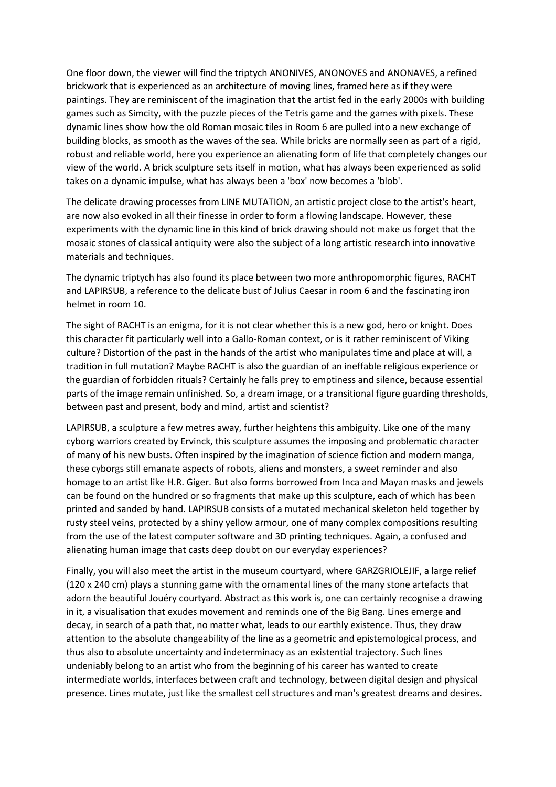One floor down, the viewer will find the triptych ANONIVES, ANONOVES and ANONAVES, a refined brickwork that is experienced as an architecture of moving lines, framed here as if they were paintings. They are reminiscent of the imagination that the artist fed in the early 2000s with building games such as Simcity, with the puzzle pieces of the Tetris game and the games with pixels. These dynamic lines show how the old Roman mosaic tiles in Room 6 are pulled into a new exchange of building blocks, as smooth as the waves of the sea. While bricks are normally seen as part of a rigid, robust and reliable world, here you experience an alienating form of life that completely changes our view of the world. A brick sculpture sets itself in motion, what has always been experienced as solid takes on a dynamic impulse, what has always been a 'box' now becomes a 'blob'.

The delicate drawing processes from LINE MUTATION, an artistic project close to the artist's heart, are now also evoked in all their finesse in order to form a flowing landscape. However, these experiments with the dynamic line in this kind of brick drawing should not make us forget that the mosaic stones of classical antiquity were also the subject of a long artistic research into innovative materials and techniques.

The dynamic triptych has also found its place between two more anthropomorphic figures, RACHT and LAPIRSUB, a reference to the delicate bust of Julius Caesar in room 6 and the fascinating iron helmet in room 10.

The sight of RACHT is an enigma, for it is not clear whether this is a new god, hero or knight. Does this character fit particularly well into a Gallo-Roman context, or is it rather reminiscent of Viking culture? Distortion of the past in the hands of the artist who manipulates time and place at will, a tradition in full mutation? Maybe RACHT is also the guardian of an ineffable religious experience or the guardian of forbidden rituals? Certainly he falls prey to emptiness and silence, because essential parts of the image remain unfinished. So, a dream image, or a transitional figure guarding thresholds, between past and present, body and mind, artist and scientist?

LAPIRSUB, a sculpture a few metres away, further heightens this ambiguity. Like one of the many cyborg warriors created by Ervinck, this sculpture assumes the imposing and problematic character of many of his new busts. Often inspired by the imagination of science fiction and modern manga, these cyborgs still emanate aspects of robots, aliens and monsters, a sweet reminder and also homage to an artist like H.R. Giger. But also forms borrowed from Inca and Mayan masks and jewels can be found on the hundred or so fragments that make up this sculpture, each of which has been printed and sanded by hand. LAPIRSUB consists of a mutated mechanical skeleton held together by rusty steel veins, protected by a shiny yellow armour, one of many complex compositions resulting from the use of the latest computer software and 3D printing techniques. Again, a confused and alienating human image that casts deep doubt on our everyday experiences?

Finally, you will also meet the artist in the museum courtyard, where GARZGRIOLEJIF, a large relief (120 x 240 cm) plays a stunning game with the ornamental lines of the many stone artefacts that adorn the beautiful Jouéry courtyard. Abstract as this work is, one can certainly recognise a drawing in it, a visualisation that exudes movement and reminds one of the Big Bang. Lines emerge and decay, in search of a path that, no matter what, leads to our earthly existence. Thus, they draw attention to the absolute changeability of the line as a geometric and epistemological process, and thus also to absolute uncertainty and indeterminacy as an existential trajectory. Such lines undeniably belong to an artist who from the beginning of his career has wanted to create intermediate worlds, interfaces between craft and technology, between digital design and physical presence. Lines mutate, just like the smallest cell structures and man's greatest dreams and desires.